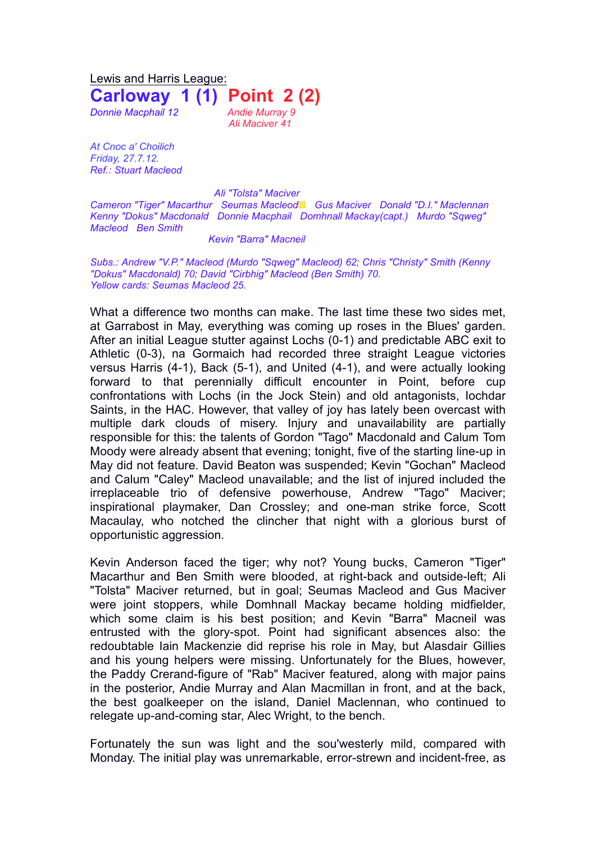Lewis and Harris League: **Carloway 1 (1) Point 2 (2)** *Donnie Macphail 12 Andie Murray 9*

*Ali Maciver 41*

*At Cnoc a' Choilich Friday, 27.7.12. Ref.: Stuart Macleod*

*Ali "Tolsta" Maciver Cameron "Tiger" Macarthur Seumas Macleod*▩ *Gus Maciver Donald "D.I." Maclennan Kenny "Dokus" Macdonald Donnie Macphail Domhnall Mackay(capt.) Murdo "Sqweg" Macleod Ben Smith*

## *Kevin "Barra" Macneil*

*Subs.: Andrew "V.P." Macleod (Murdo "Sqweg" Macleod) 62; Chris "Christy" Smith (Kenny "Dokus" Macdonald) 70; David "Cirbhig" Macleod (Ben Smith) 70. Yellow cards: Seumas Macleod 25.*

What a difference two months can make. The last time these two sides met, at Garrabost in May, everything was coming up roses in the Blues' garden. After an initial League stutter against Lochs (0-1) and predictable ABC exit to Athletic (0-3), na Gormaich had recorded three straight League victories versus Harris (4-1), Back (5-1), and United (4-1), and were actually looking forward to that perennially difficult encounter in Point, before cup confrontations with Lochs (in the Jock Stein) and old antagonists, Iochdar Saints, in the HAC. However, that valley of joy has lately been overcast with multiple dark clouds of misery. Injury and unavailability are partially responsible for this: the talents of Gordon "Tago" Macdonald and Calum Tom Moody were already absent that evening; tonight, five of the starting line-up in May did not feature. David Beaton was suspended; Kevin "Gochan" Macleod and Calum "Caley" Macleod unavailable; and the list of injured included the irreplaceable trio of defensive powerhouse, Andrew "Tago" Maciver; inspirational playmaker, Dan Crossley; and one-man strike force, Scott Macaulay, who notched the clincher that night with a glorious burst of opportunistic aggression.

Kevin Anderson faced the tiger; why not? Young bucks, Cameron "Tiger" Macarthur and Ben Smith were blooded, at right-back and outside-left; Ali "Tolsta" Maciver returned, but in goal; Seumas Macleod and Gus Maciver were joint stoppers, while Domhnall Mackay became holding midfielder, which some claim is his best position; and Kevin "Barra" Macneil was entrusted with the glory-spot. Point had significant absences also: the redoubtable Iain Mackenzie did reprise his role in May, but Alasdair Gillies and his young helpers were missing. Unfortunately for the Blues, however, the Paddy Crerand-figure of "Rab" Maciver featured, along with major pains in the posterior, Andie Murray and Alan Macmillan in front, and at the back, the best goalkeeper on the island, Daniel Maclennan, who continued to relegate up-and-coming star, Alec Wright, to the bench.

Fortunately the sun was light and the sou'westerly mild, compared with Monday. The initial play was unremarkable, error-strewn and incident-free, as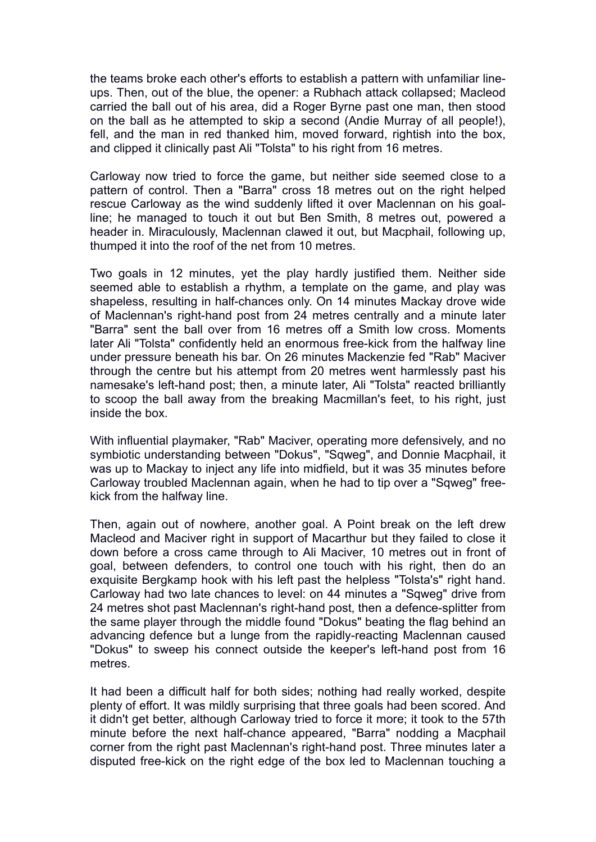the teams broke each other's efforts to establish a pattern with unfamiliar lineups. Then, out of the blue, the opener: a Rubhach attack collapsed; Macleod carried the ball out of his area, did a Roger Byrne past one man, then stood on the ball as he attempted to skip a second (Andie Murray of all people!), fell, and the man in red thanked him, moved forward, rightish into the box, and clipped it clinically past Ali "Tolsta" to his right from 16 metres.

Carloway now tried to force the game, but neither side seemed close to a pattern of control. Then a "Barra" cross 18 metres out on the right helped rescue Carloway as the wind suddenly lifted it over Maclennan on his goalline; he managed to touch it out but Ben Smith, 8 metres out, powered a header in. Miraculously, Maclennan clawed it out, but Macphail, following up, thumped it into the roof of the net from 10 metres.

Two goals in 12 minutes, yet the play hardly justified them. Neither side seemed able to establish a rhythm, a template on the game, and play was shapeless, resulting in half-chances only. On 14 minutes Mackay drove wide of Maclennan's right-hand post from 24 metres centrally and a minute later "Barra" sent the ball over from 16 metres off a Smith low cross. Moments later Ali "Tolsta" confidently held an enormous free-kick from the halfway line under pressure beneath his bar. On 26 minutes Mackenzie fed "Rab" Maciver through the centre but his attempt from 20 metres went harmlessly past his namesake's left-hand post; then, a minute later, Ali "Tolsta" reacted brilliantly to scoop the ball away from the breaking Macmillan's feet, to his right, just inside the box.

With influential playmaker, "Rab" Maciver, operating more defensively, and no symbiotic understanding between "Dokus", "Sqweg", and Donnie Macphail, it was up to Mackay to inject any life into midfield, but it was 35 minutes before Carloway troubled Maclennan again, when he had to tip over a "Sqweg" freekick from the halfway line.

Then, again out of nowhere, another goal. A Point break on the left drew Macleod and Maciver right in support of Macarthur but they failed to close it down before a cross came through to Ali Maciver, 10 metres out in front of goal, between defenders, to control one touch with his right, then do an exquisite Bergkamp hook with his left past the helpless "Tolsta's" right hand. Carloway had two late chances to level: on 44 minutes a "Sqweg" drive from 24 metres shot past Maclennan's right-hand post, then a defence-splitter from the same player through the middle found "Dokus" beating the flag behind an advancing defence but a lunge from the rapidly-reacting Maclennan caused "Dokus" to sweep his connect outside the keeper's left-hand post from 16 metres.

It had been a difficult half for both sides; nothing had really worked, despite plenty of effort. It was mildly surprising that three goals had been scored. And it didn't get better, although Carloway tried to force it more; it took to the 57th minute before the next half-chance appeared, "Barra" nodding a Macphail corner from the right past Maclennan's right-hand post. Three minutes later a disputed free-kick on the right edge of the box led to Maclennan touching a